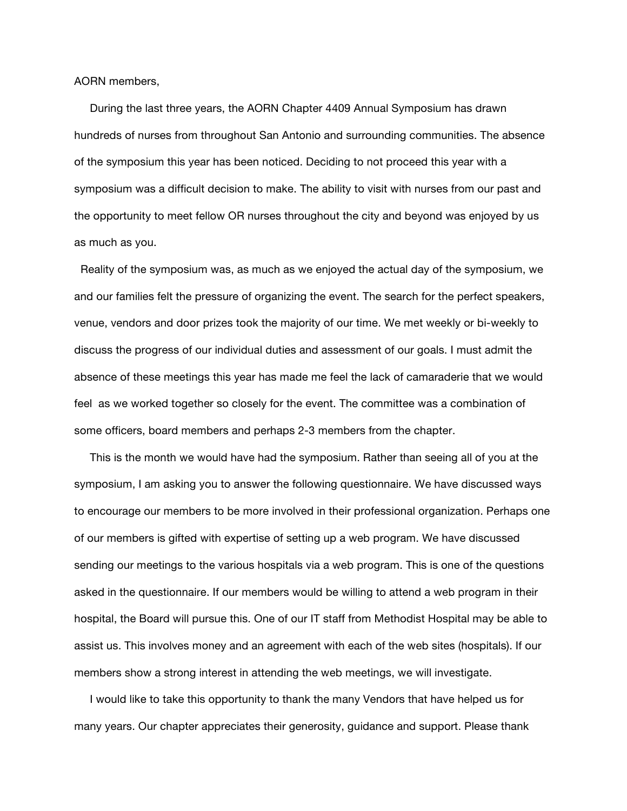AORN members,

 During the last three years, the AORN Chapter 4409 Annual Symposium has drawn hundreds of nurses from throughout San Antonio and surrounding communities. The absence of the symposium this year has been noticed. Deciding to not proceed this year with a symposium was a difficult decision to make. The ability to visit with nurses from our past and the opportunity to meet fellow OR nurses throughout the city and beyond was enjoyed by us as much as you.

 Reality of the symposium was, as much as we enjoyed the actual day of the symposium, we and our families felt the pressure of organizing the event. The search for the perfect speakers, venue, vendors and door prizes took the majority of our time. We met weekly or bi-weekly to discuss the progress of our individual duties and assessment of our goals. I must admit the absence of these meetings this year has made me feel the lack of camaraderie that we would feel as we worked together so closely for the event. The committee was a combination of some officers, board members and perhaps 2-3 members from the chapter.

 This is the month we would have had the symposium. Rather than seeing all of you at the symposium, I am asking you to answer the following questionnaire. We have discussed ways to encourage our members to be more involved in their professional organization. Perhaps one of our members is gifted with expertise of setting up a web program. We have discussed sending our meetings to the various hospitals via a web program. This is one of the questions asked in the questionnaire. If our members would be willing to attend a web program in their hospital, the Board will pursue this. One of our IT staff from Methodist Hospital may be able to assist us. This involves money and an agreement with each of the web sites (hospitals). If our members show a strong interest in attending the web meetings, we will investigate.

 I would like to take this opportunity to thank the many Vendors that have helped us for many years. Our chapter appreciates their generosity, guidance and support. Please thank